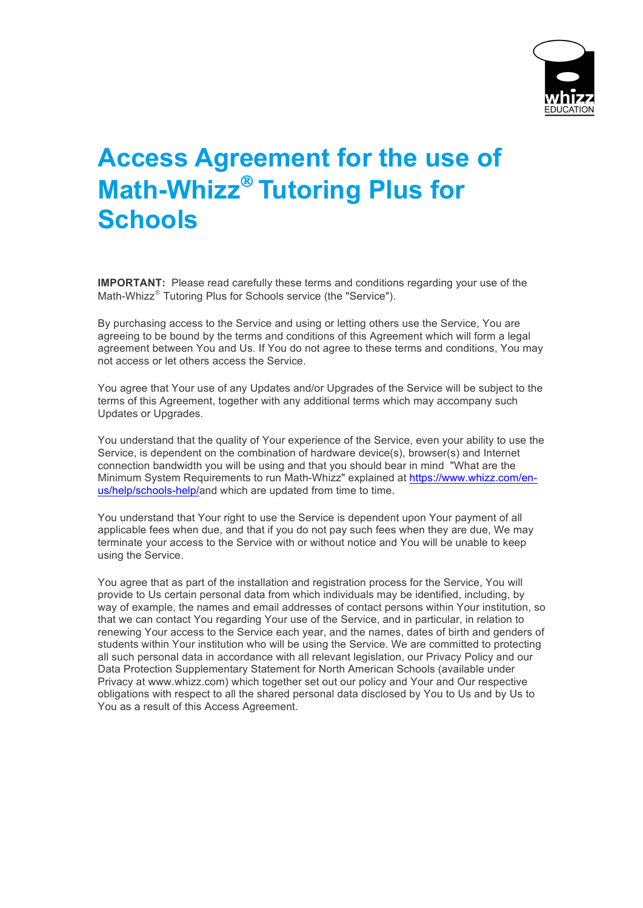

# **Access Agreement for the use of Math-Whizz<sup>®</sup> Tutoring Plus for Schools**

**IMPORTANT:** Please read carefully these terms and conditions regarding your use of the Math-Whizz<sup>®</sup> Tutoring Plus for Schools service (the "Service").

By purchasing access to the Service and using or letting others use the Service, You are agreeing to be bound by the terms and conditions of this Agreement which will form a legal agreement between You and Us. If You do not agree to these terms and conditions, You may not access or let others access the Service.

You agree that Your use of any Updates and/or Upgrades of the Service will be subject to the terms of this Agreement, together with any additional terms which may accompany such Updates or Upgrades.

You understand that the quality of Your experience of the Service, even your ability to use the Service, is dependent on the combination of hardware device(s), browser(s) and Internet connection bandwidth you will be using and that you should bear in mind "What are the Minimum System Requirements to run Math-Whizz" explained at https://www.whizz.com/enus/help/schools-help/and which are updated from time to time.

You understand that Your right to use the Service is dependent upon Your payment of all applicable fees when due, and that if you do not pay such fees when they are due, We may terminate your access to the Service with or without notice and You will be unable to keep using the Service.

You agree that as part of the installation and registration process for the Service, You will provide to Us certain personal data from which individuals may be identified, including, by way of example, the names and email addresses of contact persons within Your institution, so that we can contact You regarding Your use of the Service, and in particular, in relation to renewing Your access to the Service each year, and the names, dates of birth and genders of students within Your institution who will be using the Service. We are committed to protecting all such personal data in accordance with all relevant legislation, our Privacy Policy and our Data Protection Supplementary Statement for North American Schools (available under Privacy at www.whizz.com) which together set out our policy and Your and Our respective obligations with respect to all the shared personal data disclosed by You to Us and by Us to You as a result of this Access Agreement.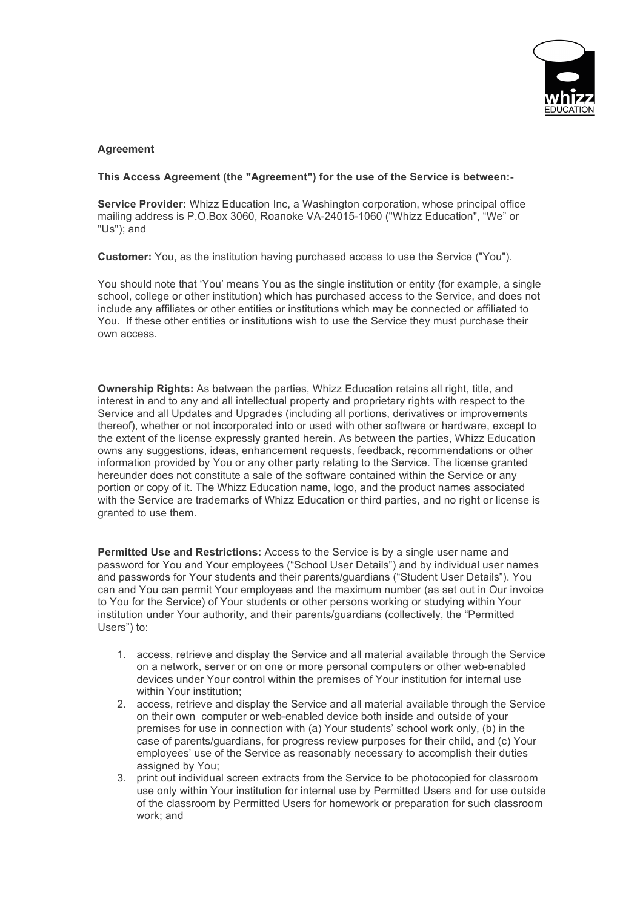

## **Agreement**

#### **This Access Agreement (the "Agreement") for the use of the Service is between:-**

**Service Provider:** Whizz Education Inc, a Washington corporation, whose principal office mailing address is P.O.Box 3060, Roanoke VA-24015-1060 ("Whizz Education", "We" or "Us"); and

**Customer:** You, as the institution having purchased access to use the Service ("You").

You should note that 'You' means You as the single institution or entity (for example, a single school, college or other institution) which has purchased access to the Service, and does not include any affiliates or other entities or institutions which may be connected or affiliated to You. If these other entities or institutions wish to use the Service they must purchase their own access.

**Ownership Rights:** As between the parties, Whizz Education retains all right, title, and interest in and to any and all intellectual property and proprietary rights with respect to the Service and all Updates and Upgrades (including all portions, derivatives or improvements thereof), whether or not incorporated into or used with other software or hardware, except to the extent of the license expressly granted herein. As between the parties, Whizz Education owns any suggestions, ideas, enhancement requests, feedback, recommendations or other information provided by You or any other party relating to the Service. The license granted hereunder does not constitute a sale of the software contained within the Service or any portion or copy of it. The Whizz Education name, logo, and the product names associated with the Service are trademarks of Whizz Education or third parties, and no right or license is granted to use them.

**Permitted Use and Restrictions:** Access to the Service is by a single user name and password for You and Your employees ("School User Details") and by individual user names and passwords for Your students and their parents/guardians ("Student User Details"). You can and You can permit Your employees and the maximum number (as set out in Our invoice to You for the Service) of Your students or other persons working or studying within Your institution under Your authority, and their parents/guardians (collectively, the "Permitted Users") to:

- 1. access, retrieve and display the Service and all material available through the Service on a network, server or on one or more personal computers or other web-enabled devices under Your control within the premises of Your institution for internal use within Your institution;
- 2. access, retrieve and display the Service and all material available through the Service on their own computer or web-enabled device both inside and outside of your premises for use in connection with (a) Your students' school work only, (b) in the case of parents/guardians, for progress review purposes for their child, and (c) Your employees' use of the Service as reasonably necessary to accomplish their duties assigned by You;
- 3. print out individual screen extracts from the Service to be photocopied for classroom use only within Your institution for internal use by Permitted Users and for use outside of the classroom by Permitted Users for homework or preparation for such classroom work; and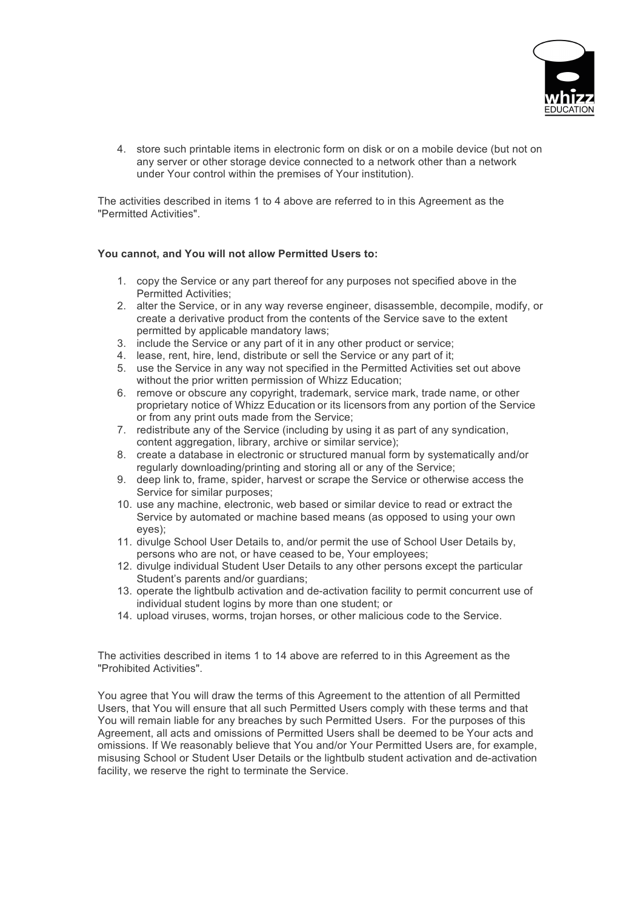

4. store such printable items in electronic form on disk or on a mobile device (but not on any server or other storage device connected to a network other than a network under Your control within the premises of Your institution).

The activities described in items 1 to 4 above are referred to in this Agreement as the "Permitted Activities".

## **You cannot, and You will not allow Permitted Users to:**

- 1. copy the Service or any part thereof for any purposes not specified above in the Permitted Activities;
- 2. alter the Service, or in any way reverse engineer, disassemble, decompile, modify, or create a derivative product from the contents of the Service save to the extent permitted by applicable mandatory laws;
- 3. include the Service or any part of it in any other product or service;
- 4. lease, rent, hire, lend, distribute or sell the Service or any part of it;
- 5. use the Service in any way not specified in the Permitted Activities set out above without the prior written permission of Whizz Education;
- 6. remove or obscure any copyright, trademark, service mark, trade name, or other proprietary notice of Whizz Education or its licensors from any portion of the Service or from any print outs made from the Service;
- 7. redistribute any of the Service (including by using it as part of any syndication, content aggregation, library, archive or similar service);
- 8. create a database in electronic or structured manual form by systematically and/or regularly downloading/printing and storing all or any of the Service;
- 9. deep link to, frame, spider, harvest or scrape the Service or otherwise access the Service for similar purposes;
- 10. use any machine, electronic, web based or similar device to read or extract the Service by automated or machine based means (as opposed to using your own eyes);
- 11. divulge School User Details to, and/or permit the use of School User Details by, persons who are not, or have ceased to be, Your employees;
- 12. divulge individual Student User Details to any other persons except the particular Student's parents and/or guardians;
- 13. operate the lightbulb activation and de-activation facility to permit concurrent use of individual student logins by more than one student; or
- 14. upload viruses, worms, trojan horses, or other malicious code to the Service.

The activities described in items 1 to 14 above are referred to in this Agreement as the "Prohibited Activities".

You agree that You will draw the terms of this Agreement to the attention of all Permitted Users, that You will ensure that all such Permitted Users comply with these terms and that You will remain liable for any breaches by such Permitted Users. For the purposes of this Agreement, all acts and omissions of Permitted Users shall be deemed to be Your acts and omissions. If We reasonably believe that You and/or Your Permitted Users are, for example, misusing School or Student User Details or the lightbulb student activation and de-activation facility, we reserve the right to terminate the Service.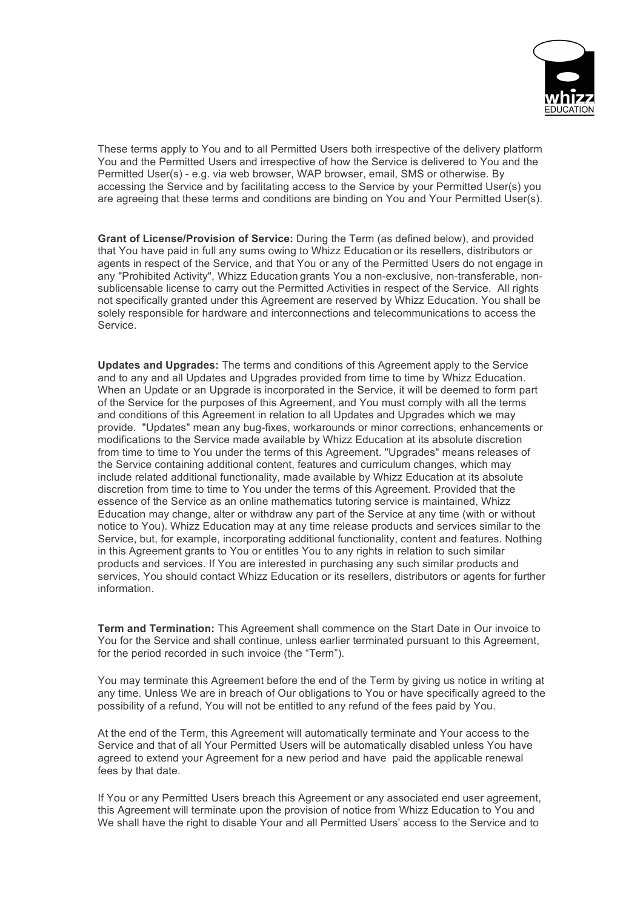

These terms apply to You and to all Permitted Users both irrespective of the delivery platform You and the Permitted Users and irrespective of how the Service is delivered to You and the Permitted User(s) - e.g. via web browser, WAP browser, email, SMS or otherwise. By accessing the Service and by facilitating access to the Service by your Permitted User(s) you are agreeing that these terms and conditions are binding on You and Your Permitted User(s).

**Grant of License/Provision of Service:** During the Term (as defined below), and provided that You have paid in full any sums owing to Whizz Education or its resellers, distributors or agents in respect of the Service, and that You or any of the Permitted Users do not engage in any "Prohibited Activity", Whizz Education grants You a non-exclusive, non-transferable, nonsublicensable license to carry out the Permitted Activities in respect of the Service. All rights not specifically granted under this Agreement are reserved by Whizz Education. You shall be solely responsible for hardware and interconnections and telecommunications to access the Service.

**Updates and Upgrades:** The terms and conditions of this Agreement apply to the Service and to any and all Updates and Upgrades provided from time to time by Whizz Education. When an Update or an Upgrade is incorporated in the Service, it will be deemed to form part of the Service for the purposes of this Agreement, and You must comply with all the terms and conditions of this Agreement in relation to all Updates and Upgrades which we may provide. "Updates" mean any bug-fixes, workarounds or minor corrections, enhancements or modifications to the Service made available by Whizz Education at its absolute discretion from time to time to You under the terms of this Agreement. "Upgrades" means releases of the Service containing additional content, features and curriculum changes, which may include related additional functionality, made available by Whizz Education at its absolute discretion from time to time to You under the terms of this Agreement. Provided that the essence of the Service as an online mathematics tutoring service is maintained, Whizz Education may change, alter or withdraw any part of the Service at any time (with or without notice to You). Whizz Education may at any time release products and services similar to the Service, but, for example, incorporating additional functionality, content and features. Nothing in this Agreement grants to You or entitles You to any rights in relation to such similar products and services. If You are interested in purchasing any such similar products and services, You should contact Whizz Education or its resellers, distributors or agents for further information.

**Term and Termination:** This Agreement shall commence on the Start Date in Our invoice to You for the Service and shall continue, unless earlier terminated pursuant to this Agreement, for the period recorded in such invoice (the "Term").

You may terminate this Agreement before the end of the Term by giving us notice in writing at any time. Unless We are in breach of Our obligations to You or have specifically agreed to the possibility of a refund, You will not be entitled to any refund of the fees paid by You.

At the end of the Term, this Agreement will automatically terminate and Your access to the Service and that of all Your Permitted Users will be automatically disabled unless You have agreed to extend your Agreement for a new period and have paid the applicable renewal fees by that date.

If You or any Permitted Users breach this Agreement or any associated end user agreement, this Agreement will terminate upon the provision of notice from Whizz Education to You and We shall have the right to disable Your and all Permitted Users' access to the Service and to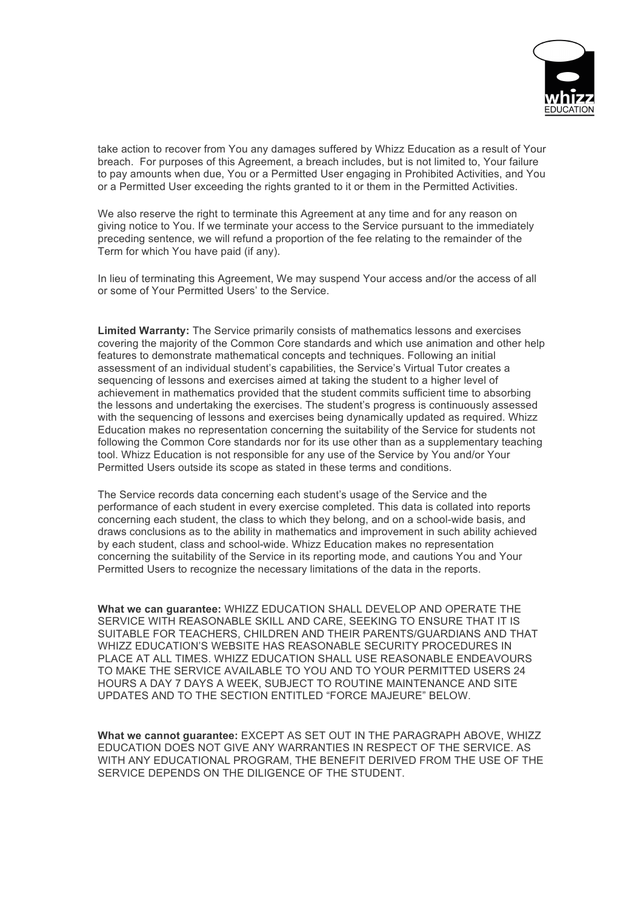

take action to recover from You any damages suffered by Whizz Education as a result of Your breach. For purposes of this Agreement, a breach includes, but is not limited to, Your failure to pay amounts when due, You or a Permitted User engaging in Prohibited Activities, and You or a Permitted User exceeding the rights granted to it or them in the Permitted Activities.

We also reserve the right to terminate this Agreement at any time and for any reason on giving notice to You. If we terminate your access to the Service pursuant to the immediately preceding sentence, we will refund a proportion of the fee relating to the remainder of the Term for which You have paid (if any).

In lieu of terminating this Agreement, We may suspend Your access and/or the access of all or some of Your Permitted Users' to the Service.

**Limited Warranty:** The Service primarily consists of mathematics lessons and exercises covering the majority of the Common Core standards and which use animation and other help features to demonstrate mathematical concepts and techniques. Following an initial assessment of an individual student's capabilities, the Service's Virtual Tutor creates a sequencing of lessons and exercises aimed at taking the student to a higher level of achievement in mathematics provided that the student commits sufficient time to absorbing the lessons and undertaking the exercises. The student's progress is continuously assessed with the sequencing of lessons and exercises being dynamically updated as required. Whizz Education makes no representation concerning the suitability of the Service for students not following the Common Core standards nor for its use other than as a supplementary teaching tool. Whizz Education is not responsible for any use of the Service by You and/or Your Permitted Users outside its scope as stated in these terms and conditions.

The Service records data concerning each student's usage of the Service and the performance of each student in every exercise completed. This data is collated into reports concerning each student, the class to which they belong, and on a school-wide basis, and draws conclusions as to the ability in mathematics and improvement in such ability achieved by each student, class and school-wide. Whizz Education makes no representation concerning the suitability of the Service in its reporting mode, and cautions You and Your Permitted Users to recognize the necessary limitations of the data in the reports.

**What we can guarantee:** WHIZZ EDUCATION SHALL DEVELOP AND OPERATE THE SERVICE WITH REASONABLE SKILL AND CARE, SEEKING TO ENSURE THAT IT IS SUITABLE FOR TEACHERS, CHILDREN AND THEIR PARENTS/GUARDIANS AND THAT WHIZZ EDUCATION'S WEBSITE HAS REASONABLE SECURITY PROCEDURES IN PLACE AT ALL TIMES. WHIZZ EDUCATION SHALL USE REASONABLE ENDEAVOURS TO MAKE THE SERVICE AVAILABLE TO YOU AND TO YOUR PERMITTED USERS 24 HOURS A DAY 7 DAYS A WEEK, SUBJECT TO ROUTINE MAINTENANCE AND SITE UPDATES AND TO THE SECTION ENTITLED "FORCE MAJEURE" BELOW.

**What we cannot guarantee:** EXCEPT AS SET OUT IN THE PARAGRAPH ABOVE, WHIZZ EDUCATION DOES NOT GIVE ANY WARRANTIES IN RESPECT OF THE SERVICE. AS WITH ANY EDUCATIONAL PROGRAM, THE BENEFIT DERIVED FROM THE USE OF THE SERVICE DEPENDS ON THE DILIGENCE OF THE STUDENT.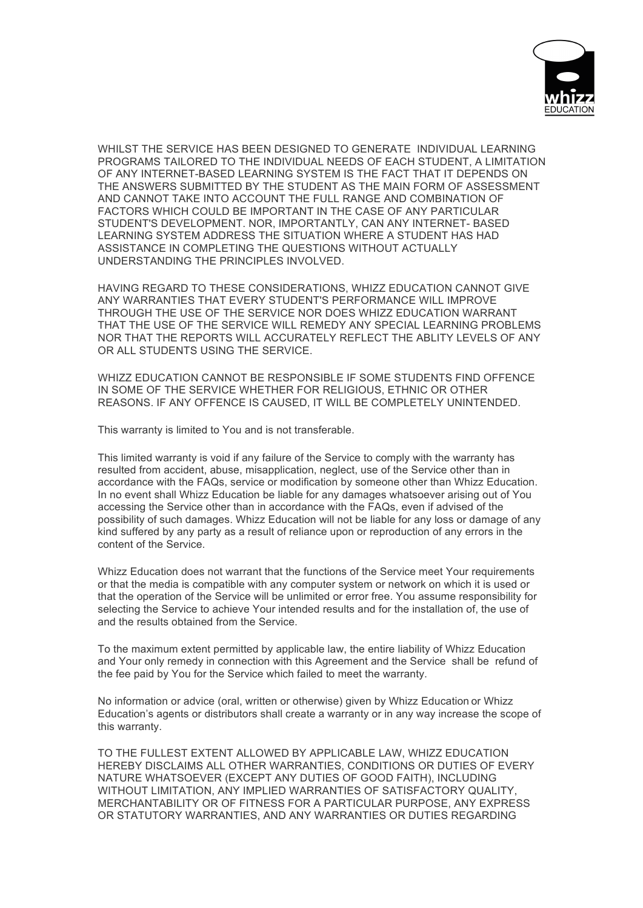

WHILST THE SERVICE HAS BEEN DESIGNED TO GENERATE INDIVIDUAL LEARNING PROGRAMS TAILORED TO THE INDIVIDUAL NEEDS OF EACH STUDENT, A LIMITATION OF ANY INTERNET-BASED LEARNING SYSTEM IS THE FACT THAT IT DEPENDS ON THE ANSWERS SUBMITTED BY THE STUDENT AS THE MAIN FORM OF ASSESSMENT AND CANNOT TAKE INTO ACCOUNT THE FULL RANGE AND COMBINATION OF FACTORS WHICH COULD BE IMPORTANT IN THE CASE OF ANY PARTICULAR STUDENT'S DEVELOPMENT. NOR, IMPORTANTLY, CAN ANY INTERNET- BASED LEARNING SYSTEM ADDRESS THE SITUATION WHERE A STUDENT HAS HAD ASSISTANCE IN COMPLETING THE QUESTIONS WITHOUT ACTUALLY UNDERSTANDING THE PRINCIPLES INVOLVED.

HAVING REGARD TO THESE CONSIDERATIONS, WHIZZ EDUCATION CANNOT GIVE ANY WARRANTIES THAT EVERY STUDENT'S PERFORMANCE WILL IMPROVE THROUGH THE USE OF THE SERVICE NOR DOES WHIZZ EDUCATION WARRANT THAT THE USE OF THE SERVICE WILL REMEDY ANY SPECIAL LEARNING PROBLEMS NOR THAT THE REPORTS WILL ACCURATELY REFLECT THE ABLITY LEVELS OF ANY OR ALL STUDENTS USING THE SERVICE.

WHIZZ EDUCATION CANNOT BE RESPONSIBLE IF SOME STUDENTS FIND OFFENCE IN SOME OF THE SERVICE WHETHER FOR RELIGIOUS, ETHNIC OR OTHER REASONS. IF ANY OFFENCE IS CAUSED, IT WILL BE COMPLETELY UNINTENDED.

This warranty is limited to You and is not transferable.

This limited warranty is void if any failure of the Service to comply with the warranty has resulted from accident, abuse, misapplication, neglect, use of the Service other than in accordance with the FAQs, service or modification by someone other than Whizz Education. In no event shall Whizz Education be liable for any damages whatsoever arising out of You accessing the Service other than in accordance with the FAQs, even if advised of the possibility of such damages. Whizz Education will not be liable for any loss or damage of any kind suffered by any party as a result of reliance upon or reproduction of any errors in the content of the Service.

Whizz Education does not warrant that the functions of the Service meet Your requirements or that the media is compatible with any computer system or network on which it is used or that the operation of the Service will be unlimited or error free. You assume responsibility for selecting the Service to achieve Your intended results and for the installation of, the use of and the results obtained from the Service.

To the maximum extent permitted by applicable law, the entire liability of Whizz Education and Your only remedy in connection with this Agreement and the Service shall be refund of the fee paid by You for the Service which failed to meet the warranty.

No information or advice (oral, written or otherwise) given by Whizz Education or Whizz Education's agents or distributors shall create a warranty or in any way increase the scope of this warranty.

TO THE FULLEST EXTENT ALLOWED BY APPLICABLE LAW, WHIZZ EDUCATION HEREBY DISCLAIMS ALL OTHER WARRANTIES, CONDITIONS OR DUTIES OF EVERY NATURE WHATSOEVER (EXCEPT ANY DUTIES OF GOOD FAITH), INCLUDING WITHOUT LIMITATION, ANY IMPLIED WARRANTIES OF SATISFACTORY QUALITY, MERCHANTABILITY OR OF FITNESS FOR A PARTICULAR PURPOSE, ANY EXPRESS OR STATUTORY WARRANTIES, AND ANY WARRANTIES OR DUTIES REGARDING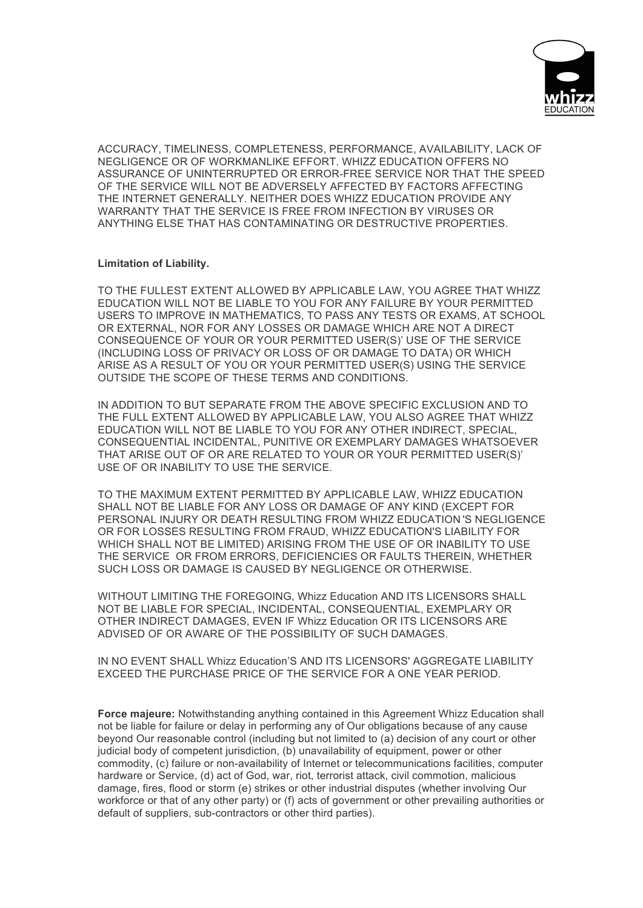

ACCURACY, TIMELINESS, COMPLETENESS, PERFORMANCE, AVAILABILITY, LACK OF NEGLIGENCE OR OF WORKMANLIKE EFFORT. WHIZZ EDUCATION OFFERS NO ASSURANCE OF UNINTERRUPTED OR ERROR-FREE SERVICE NOR THAT THE SPEED OF THE SERVICE WILL NOT BE ADVERSELY AFFECTED BY FACTORS AFFECTING THE INTERNET GENERALLY. NEITHER DOES WHIZZ EDUCATION PROVIDE ANY WARRANTY THAT THE SERVICE IS FREE FROM INFECTION BY VIRUSES OR ANYTHING ELSE THAT HAS CONTAMINATING OR DESTRUCTIVE PROPERTIES.

### **Limitation of Liability.**

TO THE FULLEST EXTENT ALLOWED BY APPLICABLE LAW, YOU AGREE THAT WHIZZ EDUCATION WILL NOT BE LIABLE TO YOU FOR ANY FAILURE BY YOUR PERMITTED USERS TO IMPROVE IN MATHEMATICS, TO PASS ANY TESTS OR EXAMS, AT SCHOOL OR EXTERNAL, NOR FOR ANY LOSSES OR DAMAGE WHICH ARE NOT A DIRECT CONSEQUENCE OF YOUR OR YOUR PERMITTED USER(S)' USE OF THE SERVICE (INCLUDING LOSS OF PRIVACY OR LOSS OF OR DAMAGE TO DATA) OR WHICH ARISE AS A RESULT OF YOU OR YOUR PERMITTED USER(S) USING THE SERVICE OUTSIDE THE SCOPE OF THESE TERMS AND CONDITIONS.

IN ADDITION TO BUT SEPARATE FROM THE ABOVE SPECIFIC EXCLUSION AND TO THE FULL EXTENT ALLOWED BY APPLICABLE LAW, YOU ALSO AGREE THAT WHIZZ EDUCATION WILL NOT BE LIABLE TO YOU FOR ANY OTHER INDIRECT, SPECIAL, CONSEQUENTIAL INCIDENTAL, PUNITIVE OR EXEMPLARY DAMAGES WHATSOEVER THAT ARISE OUT OF OR ARE RELATED TO YOUR OR YOUR PERMITTED USER(S)' USE OF OR INABILITY TO USE THE SERVICE.

TO THE MAXIMUM EXTENT PERMITTED BY APPLICABLE LAW, WHIZZ EDUCATION SHALL NOT BE LIABLE FOR ANY LOSS OR DAMAGE OF ANY KIND (EXCEPT FOR PERSONAL INJURY OR DEATH RESULTING FROM WHIZZ EDUCATION 'S NEGLIGENCE OR FOR LOSSES RESULTING FROM FRAUD, WHIZZ EDUCATION'S LIABILITY FOR WHICH SHALL NOT BE LIMITED) ARISING FROM THE USE OF OR INABILITY TO USE THE SERVICE OR FROM ERRORS, DEFICIENCIES OR FAULTS THEREIN, WHETHER SUCH LOSS OR DAMAGE IS CAUSED BY NEGLIGENCE OR OTHERWISE.

WITHOUT LIMITING THE FOREGOING, Whizz Education AND ITS LICENSORS SHALL NOT BE LIABLE FOR SPECIAL, INCIDENTAL, CONSEQUENTIAL, EXEMPLARY OR OTHER INDIRECT DAMAGES, EVEN IF Whizz Education OR ITS LICENSORS ARE ADVISED OF OR AWARE OF THE POSSIBILITY OF SUCH DAMAGES.

IN NO EVENT SHALL Whizz Education'S AND ITS LICENSORS' AGGREGATE LIABILITY EXCEED THE PURCHASE PRICE OF THE SERVICE FOR A ONE YEAR PERIOD.

**Force majeure:** Notwithstanding anything contained in this Agreement Whizz Education shall not be liable for failure or delay in performing any of Our obligations because of any cause beyond Our reasonable control (including but not limited to (a) decision of any court or other judicial body of competent jurisdiction, (b) unavailability of equipment, power or other commodity, (c) failure or non-availability of Internet or telecommunications facilities, computer hardware or Service, (d) act of God, war, riot, terrorist attack, civil commotion, malicious damage, fires, flood or storm (e) strikes or other industrial disputes (whether involving Our workforce or that of any other party) or (f) acts of government or other prevailing authorities or default of suppliers, sub-contractors or other third parties).